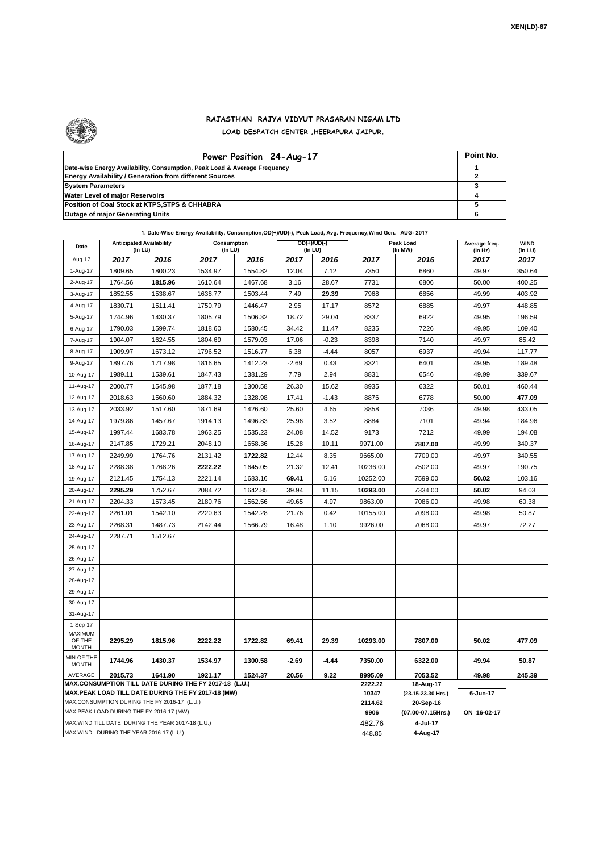

## **RAJASTHAN RAJYA VIDYUT PRASARAN NIGAM LTD LOAD DESPATCH CENTER ,HEERAPURA JAIPUR.**

| Power Position 24-Aug-17                                                  | Point No. |
|---------------------------------------------------------------------------|-----------|
| Date-wise Energy Availability, Consumption, Peak Load & Average Frequency |           |
| <b>Energy Availability / Generation from different Sources</b>            |           |
| <b>System Parameters</b>                                                  |           |
| Water Level of major Reservoirs                                           |           |
| Position of Coal Stock at KTPS, STPS & CHHABRA                            |           |
| <b>Outage of major Generating Units</b>                                   |           |

| Date                                                                                                                           | <b>Anticipated Availability</b><br>$($ In LU $)$   |         | Consumption<br>(In LU) |         | $OD(+)/UD(-)$<br>(In LU) |                  |                                 | Peak Load<br>(In MW) | Average freq.<br>(ln Hz) | <b>WIND</b><br>(in LU) |  |
|--------------------------------------------------------------------------------------------------------------------------------|----------------------------------------------------|---------|------------------------|---------|--------------------------|------------------|---------------------------------|----------------------|--------------------------|------------------------|--|
| Aug-17                                                                                                                         | 2017                                               | 2016    | 2017                   | 2016    | 2017                     | 2016             | 2017                            | 2016                 | 2017                     | 2017                   |  |
| 1-Aug-17                                                                                                                       | 1809.65                                            | 1800.23 | 1534.97                | 1554.82 | 12.04                    | 7.12             | 7350                            | 6860                 | 49.97                    | 350.64                 |  |
| 2-Aug-17                                                                                                                       | 1764.56                                            | 1815.96 | 1610.64                | 1467.68 | 3.16                     | 28.67            | 7731                            | 6806                 | 50.00                    | 400.25                 |  |
| 3-Aug-17                                                                                                                       | 1852.55                                            | 1538.67 | 1638.77                | 1503.44 | 7.49                     | 29.39            | 7968                            | 6856                 | 49.99                    | 403.92                 |  |
| 4-Aug-17                                                                                                                       | 1830.71                                            | 1511.41 | 1750.79                | 1446.47 | 2.95                     | 17.17            | 8572                            | 6885                 | 49.97                    | 448.85                 |  |
| 5-Aug-17                                                                                                                       | 1744.96                                            | 1430.37 | 1805.79                | 1506.32 | 18.72                    | 29.04            | 8337                            | 6922                 | 49.95                    | 196.59                 |  |
| 6-Aug-17                                                                                                                       | 1790.03                                            | 1599.74 | 1818.60                | 1580.45 | 34.42                    | 11.47            | 8235                            | 7226                 | 49.95                    | 109.40                 |  |
| 7-Aug-17                                                                                                                       | 1904.07                                            | 1624.55 | 1804.69                | 1579.03 | 17.06                    | $-0.23$          | 8398                            | 7140                 | 49.97                    | 85.42                  |  |
| 8-Aug-17                                                                                                                       | 1909.97                                            | 1673.12 | 1796.52                | 1516.77 | 6.38                     | $-4.44$          | 8057                            | 6937                 | 49.94                    | 117.77                 |  |
| 9-Aug-17                                                                                                                       | 1897.76                                            | 1717.98 | 1816.65                | 1412.23 | $-2.69$                  | 0.43             | 8321                            | 6401                 | 49.95                    | 189.48                 |  |
| 10-Aug-17                                                                                                                      | 1989.11                                            | 1539.61 | 1847.43                | 1381.29 | 7.79                     | 2.94             | 8831                            | 6546                 | 49.99                    | 339.67                 |  |
| 11-Aug-17                                                                                                                      | 2000.77                                            | 1545.98 | 1877.18                | 1300.58 | 26.30                    | 15.62            | 8935                            | 6322                 | 50.01                    | 460.44                 |  |
| 12-Aug-17                                                                                                                      | 2018.63                                            | 1560.60 | 1884.32                | 1328.98 | 17.41                    | $-1.43$          | 8876                            | 6778                 | 50.00                    | 477.09                 |  |
| 13-Aug-17                                                                                                                      | 2033.92                                            | 1517.60 | 1871.69                | 1426.60 | 25.60                    | 4.65             | 8858                            | 7036                 | 49.98                    | 433.05                 |  |
| 14-Aug-17                                                                                                                      | 1979.86                                            | 1457.67 | 1914.13                | 1496.83 | 25.96                    | 3.52             | 8884                            | 7101                 | 49.94                    | 184.96                 |  |
| 15-Aug-17                                                                                                                      | 1997.44                                            | 1683.78 | 1963.25                | 1535.23 | 24.08                    | 14.52            | 9173                            | 7212                 | 49.99                    | 194.08                 |  |
| 16-Aug-17                                                                                                                      | 2147.85                                            | 1729.21 | 2048.10                | 1658.36 | 15.28                    | 10.11            | 9971.00                         | 7807.00              | 49.99                    | 340.37                 |  |
| 17-Aug-17                                                                                                                      | 2249.99                                            | 1764.76 | 2131.42                | 1722.82 | 12.44                    | 8.35             | 9665.00                         | 7709.00              | 49.97                    | 340.55                 |  |
| 18-Aug-17                                                                                                                      | 2288.38                                            | 1768.26 | 2222.22                | 1645.05 | 21.32                    | 12.41            | 10236.00                        | 7502.00              | 49.97                    | 190.75                 |  |
| 19-Aug-17                                                                                                                      | 2121.45                                            | 1754.13 | 2221.14                | 1683.16 | 69.41                    | 5.16             | 10252.00                        | 7599.00              | 50.02                    | 103.16                 |  |
| 20-Aug-17                                                                                                                      | 2295.29                                            | 1752.67 | 2084.72                | 1642.85 | 39.94                    | 11.15            | 10293.00                        | 7334.00              | 50.02                    | 94.03                  |  |
| 21-Aug-17                                                                                                                      | 2204.33                                            | 1573.45 | 2180.76                | 1562.56 | 49.65                    | 4.97             | 9863.00                         | 7086.00              | 49.98                    | 60.38                  |  |
| 22-Aug-17                                                                                                                      | 2261.01                                            | 1542.10 | 2220.63                | 1542.28 | 21.76                    | 0.42             | 10155.00                        | 7098.00              | 49.98                    | 50.87                  |  |
| 23-Aug-17                                                                                                                      | 2268.31                                            | 1487.73 | 2142.44                | 1566.79 | 16.48                    | 1.10             | 9926.00                         | 7068.00              | 49.97                    | 72.27                  |  |
| 24-Aug-17                                                                                                                      | 2287.71                                            | 1512.67 |                        |         |                          |                  |                                 |                      |                          |                        |  |
| 25-Aug-17                                                                                                                      |                                                    |         |                        |         |                          |                  |                                 |                      |                          |                        |  |
| 26-Aug-17                                                                                                                      |                                                    |         |                        |         |                          |                  |                                 |                      |                          |                        |  |
| 27-Aug-17                                                                                                                      |                                                    |         |                        |         |                          |                  |                                 |                      |                          |                        |  |
| 28-Aug-17                                                                                                                      |                                                    |         |                        |         |                          |                  |                                 |                      |                          |                        |  |
| 29-Aug-17                                                                                                                      |                                                    |         |                        |         |                          |                  |                                 |                      |                          |                        |  |
| 30-Aug-17                                                                                                                      |                                                    |         |                        |         |                          |                  |                                 |                      |                          |                        |  |
| 31-Aug-17                                                                                                                      |                                                    |         |                        |         |                          |                  |                                 |                      |                          |                        |  |
| 1-Sep-17<br><b>MAXIMUM</b>                                                                                                     |                                                    |         |                        |         |                          |                  |                                 |                      |                          |                        |  |
| OF THE<br><b>MONTH</b>                                                                                                         | 2295.29                                            | 1815.96 | 2222.22                | 1722.82 | 69.41                    | 29.39            | 10293.00                        | 7807.00              | 50.02                    | 477.09                 |  |
| MIN OF THE<br><b>MONTH</b>                                                                                                     | 1744.96                                            | 1430.37 | 1534.97                | 1300.58 | $-2.69$                  | -4.44            | 7350.00                         | 6322.00              | 49.94                    | 50.87                  |  |
| 1641.90<br>AVERAGE<br>2015.73<br>1921.17<br>1524.37<br>20.56<br>9.22<br>MAX.CONSUMPTION TILL DATE DURING THE FY 2017-18 (L.U.) |                                                    |         |                        |         |                          |                  | 8995.09                         | 7053.52              | 49.98                    | 245.39                 |  |
| MAX.PEAK LOAD TILL DATE DURING THE FY 2017-18 (MW)                                                                             |                                                    |         |                        |         |                          | 2222.22<br>10347 | 18-Aug-17<br>(23.15-23.30 Hrs.) | 6-Jun-17             |                          |                        |  |
|                                                                                                                                | MAX.CONSUMPTION DURING THE FY 2016-17 (L.U.)       |         |                        |         |                          |                  | 2114.62                         | 20-Sep-16            |                          |                        |  |
|                                                                                                                                | MAX.PEAK LOAD DURING THE FY 2016-17 (MW)           |         |                        |         |                          |                  | 9906                            | (07.00-07.15Hrs.)    | ON 16-02-17              |                        |  |
|                                                                                                                                | MAX. WIND TILL DATE DURING THE YEAR 2017-18 (L.U.) |         |                        |         |                          |                  | 482.76                          | 4-Jul-17             |                          |                        |  |
| MAX.WIND DURING THE YEAR 2016-17 (L.U.)                                                                                        |                                                    |         |                        |         |                          |                  | 448.85                          | 4-Aug-17             |                          |                        |  |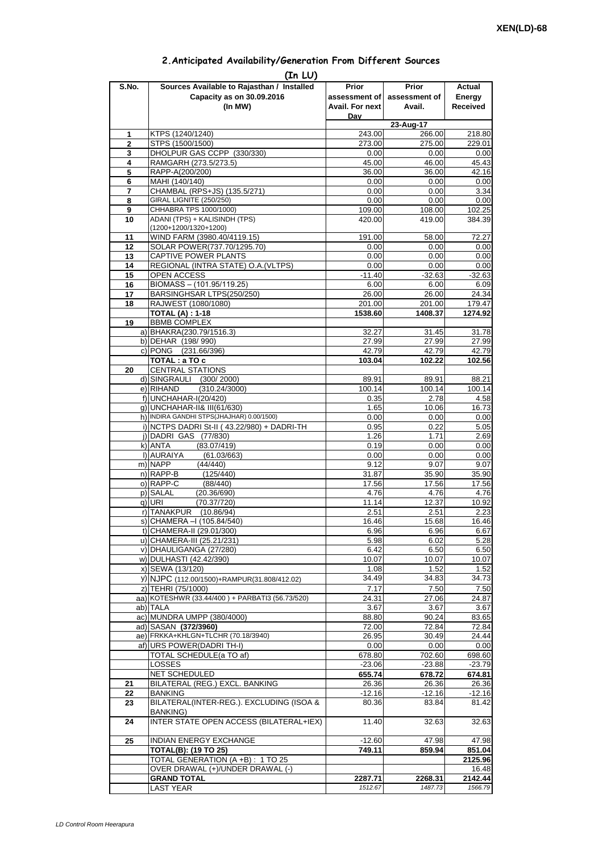| 2. Anticipated Availability/Generation From Different Sources |  |  |  |
|---------------------------------------------------------------|--|--|--|
|                                                               |  |  |  |

| S.No.               | (In LU)<br>Sources Available to Rajasthan / Installed        | <b>Prior</b>       | <b>Prior</b>     | Actual           |
|---------------------|--------------------------------------------------------------|--------------------|------------------|------------------|
|                     | Capacity as on 30.09.2016                                    | assessment of      | assessment of    | Energy           |
|                     | (In MW)                                                      | Avail. For next    | Avail.           | <b>Received</b>  |
|                     |                                                              | Dav                |                  |                  |
|                     |                                                              |                    | 23-Aug-17        |                  |
| 1<br>$\overline{2}$ | KTPS (1240/1240)<br>STPS (1500/1500)                         | 243.00<br>273.00   | 266.00<br>275.00 | 218.80<br>229.01 |
| 3                   | DHOLPUR GAS CCPP (330/330)                                   | 0.00               | 0.00             | 0.00             |
| 4                   | RAMGARH (273.5/273.5)                                        | 45.00              | 46.00            | 45.43            |
| 5                   | RAPP-A(200/200)                                              | 36.00              | 36.00            | 42.16            |
| 6                   | MAHI (140/140)                                               | 0.00               | 0.00             | 0.00             |
| $\overline{7}$      | CHAMBAL (RPS+JS) (135.5/271)                                 | 0.00               | 0.00             | 3.34             |
| 8<br>9              | GIRAL LIGNITE (250/250)<br>CHHABRA TPS 1000/1000)            | 0.00<br>109.00     | 0.00<br>108.00   | 0.00<br>102.25   |
| 10                  | ADANI (TPS) + KALISINDH (TPS)                                | 420.00             | 419.00           | 384.39           |
|                     | (1200+1200/1320+1200)                                        |                    |                  |                  |
| 11                  | WIND FARM (3980.40/4119.15)                                  | 191.00             | 58.00            | 72.27            |
| 12                  | SOLAR POWER(737.70/1295.70)                                  | 0.00               | 0.00             | 0.00             |
| 13                  | CAPTIVE POWER PLANTS                                         | 0.00               | 0.00             | 0.00             |
| 14<br>15            | REGIONAL (INTRA STATE) O.A. (VLTPS)<br>OPEN ACCESS           | 0.00<br>$-11.40$   | 0.00<br>$-32.63$ | 0.00<br>$-32.63$ |
| 16                  | BIOMASS - (101.95/119.25)                                    | 6.00               | 6.00             | 6.09             |
| 17                  | BARSINGHSAR LTPS(250/250)                                    | 26.00              | 26.00            | 24.34            |
| 18                  | RAJWEST (1080/1080)                                          | 201.00             | 201.00           | 179.47           |
|                     | <b>TOTAL (A): 1-18</b>                                       | 1538.60            | 1408.37          | 1274.92          |
| 19                  | <b>BBMB COMPLEX</b><br>a) BHAKRA(230.79/1516.3)              |                    | 31.45            |                  |
|                     | b) DEHAR (198/990)                                           | 32.27<br>27.99     | 27.99            | 31.78<br>27.99   |
|                     | c) PONG (231.66/396)                                         | 42.79              | 42.79            | 42.79            |
|                     | TOTAL : a TO c                                               | 103.04             | 102.22           | 102.56           |
| 20                  | <b>CENTRAL STATIONS</b>                                      |                    |                  |                  |
|                     | d) SINGRAULI (300/2000)                                      | 89.91              | 89.91            | 88.21            |
|                     | e) RIHAND<br>(310.24/3000)                                   | 100.14             | 100.14           | 100.14           |
|                     | f) UNCHAHAR-I(20/420)<br>q) UNCHAHAR-II& III(61/630)         | 0.35<br>1.65       | 2.78<br>10.06    | 4.58<br>16.73    |
|                     | h) INDIRA GANDHI STPS(JHAJHAR) 0.00/1500)                    | 0.00               | 0.00             | 0.00             |
|                     | i) NCTPS DADRI St-II (43.22/980) + DADRI-TH                  | 0.95               | 0.22             | 5.05             |
|                     | j) DADRI GAS (77/830)                                        | 1.26               | 1.71             | 2.69             |
|                     | k) ANTA<br>(83.07/419)                                       | 0.19               | 0.00             | 0.00             |
|                     | I) AURAIYA<br>(61.03/663)                                    | 0.00               | 0.00             | 0.00             |
|                     | m) NAPP<br>(44/440)<br>n) RAPP-B<br>(125/440)                | 9.12               | 9.07             | 9.07             |
|                     | o) RAPP-C<br>(88/440)                                        | 31.87<br>17.56     | 35.90<br>17.56   | 35.90<br>17.56   |
|                     | p) SALAL<br>(20.36/690)                                      | 4.76               | 4.76             | 4.76             |
|                     | (70.37/720)<br>q) URI                                        | 11.14              | 12.37            | 10.92            |
|                     | r) TANAKPUR<br>(10.86/94)                                    | 2.51               | 2.51             | 2.23             |
|                     | S) CHAMERA - (105.84/540)                                    | 16.46              | 15.68            | 16.46            |
|                     | t) CHAMERA-II (29.01/300)                                    | 6.96               | 6.96             | 6.67             |
|                     | u) CHAMERA-III (25.21/231)<br>v) DHAULIGANGA (27/280)        | 5.98<br>6.42       | 6.02<br>6.50     | 5.28<br>6.50     |
|                     | w) DULHASTI (42.42/390)                                      | 10.07              | 10.07            | 10.07            |
|                     | x) SEWA (13/120)                                             | 1.08               | 1.52             | 1.52             |
|                     | y) NJPC (112.00/1500)+RAMPUR(31.808/412.02)                  | 34.49              | 34.83            | 34.73            |
|                     | z) TEHRI (75/1000)                                           | 7.17               | 7.50             | 7.50             |
|                     | aa) KOTESHWR (33.44/400) + PARBATI3 (56.73/520)              | 24.31              | 27.06            | 24.87            |
|                     | ab) TALA<br>ac) MUNDRA UMPP (380/4000)                       | 3.67<br>88.80      | 3.67<br>90.24    | 3.67<br>83.65    |
|                     | ad) SASAN (372/3960)                                         | 72.00              | 72.84            | 72.84            |
|                     | ae) FRKKA+KHLGN+TLCHR (70.18/3940)                           | 26.95              | 30.49            | 24.44            |
|                     | af) URS POWER(DADRI TH-I)                                    | 0.00               | 0.00             | 0.00             |
|                     | TOTAL SCHEDULE(a TO af)                                      | 678.80             | 702.60           | 698.60           |
|                     | <b>LOSSES</b>                                                | $-23.06$           | $-23.88$         | $-23.79$         |
| 21                  | NET SCHEDULED<br>BILATERAL (REG.) EXCL. BANKING              | 655.74<br>26.36    | 678.72<br>26.36  | 674.81<br>26.36  |
| 22                  | <b>BANKING</b>                                               | $-12.16$           | $-12.16$         | $-12.16$         |
| 23                  | BILATERAL(INTER-REG.). EXCLUDING (ISOA &                     | 80.36              | 83.84            | 81.42            |
|                     | <b>BANKING</b> )                                             |                    |                  |                  |
| 24                  | INTER STATE OPEN ACCESS (BILATERAL+IEX)                      | 11.40              | 32.63            | 32.63            |
|                     |                                                              |                    |                  |                  |
| 25                  | <b>INDIAN ENERGY EXCHANGE</b><br><b>TOTAL(B): (19 TO 25)</b> | $-12.60$<br>749.11 | 47.98<br>859.94  | 47.98<br>851.04  |
|                     | TOTAL GENERATION (A +B) : 1 TO 25                            |                    |                  | 2125.96          |
|                     | OVER DRAWAL (+)/UNDER DRAWAL (-)                             |                    |                  | 16.48            |
|                     | <b>GRAND TOTAL</b>                                           | 2287.71            | 2268.31          | 2142.44          |
|                     | <b>LAST YEAR</b>                                             | 1512.67            | 1487.73          | 1566.79          |